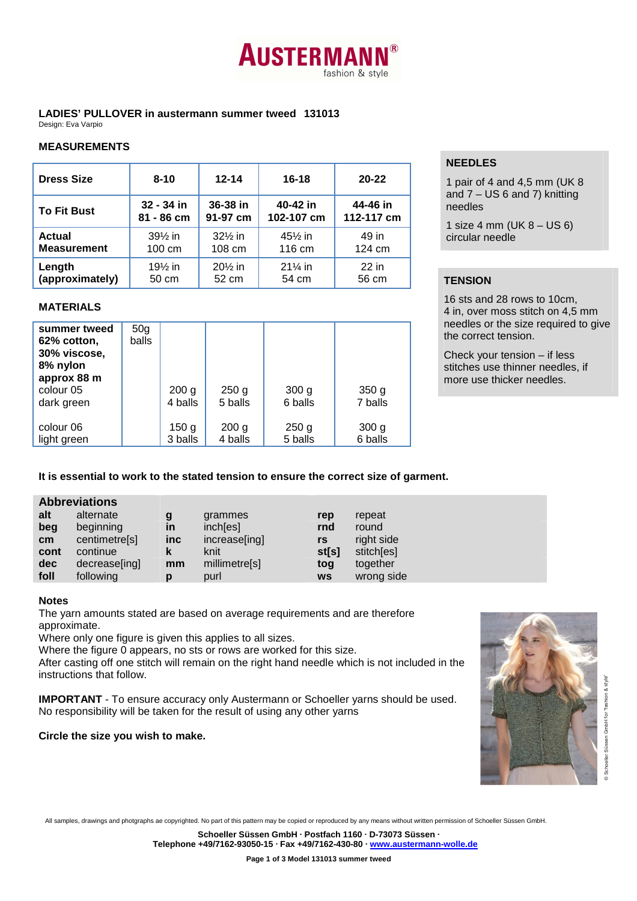# **AUSTERMAN** fashion & style

# **LADIES' PULLOVER in austermann summer tweed 131013**  Design: Eva Varpio

# **MEASUREMENTS**

| <b>Dress Size</b>  | $8 - 10$     | $12 - 14$ | $16 - 18$  | $20 - 22$  |
|--------------------|--------------|-----------|------------|------------|
| <b>To Fit Bust</b> | $32 - 34$ in | 36-38 in  | 40-42 in   | 44-46 in   |
|                    | 81 - 86 cm   | 91-97 cm  | 102-107 cm | 112-117 cm |
| <b>Actual</b>      | $39\%$ in    | $32\%$ in | $45\%$ in  | 49 in      |
| <b>Measurement</b> | 100 cm       | 108 cm    | 116 cm     | 124 cm     |
| Length             | $19\%$ in    | $20\%$ in | $21\%$ in  | $22$ in    |
| (approximately)    | 50 cm        | 52 cm     | 54 cm      | 56 cm      |

# **MATERIALS**

| summer tweed<br>62% cotton,<br>30% viscose,<br>8% nylon<br>approx 88 m<br>colour 05<br>dark green | 50 <sub>g</sub><br>balls | 200 <sub>g</sub><br>4 balls | 250 <sub>g</sub><br>5 balls | 300 <sub>g</sub><br>6 balls | 350 <sub>g</sub><br>7 balls |
|---------------------------------------------------------------------------------------------------|--------------------------|-----------------------------|-----------------------------|-----------------------------|-----------------------------|
| colour 06<br>light green                                                                          |                          | 150 g<br>3 balls            | 200 <sub>g</sub><br>4 balls | 250 <sub>g</sub><br>5 balls | 300 <sub>g</sub><br>6 balls |

# **NEEDLES**

1 pair of 4 and 4,5 mm (UK 8 and 7 – US 6 and 7) knitting needles

1 size 4 mm (UK 8 – US 6) circular needle

# 56 cm **TENSION**

16 sts and 28 rows to 10cm, 4 in, over moss stitch on 4,5 mm needles or the size required to give the correct tension.

Check your tension – if less stitches use thinner needles, if more use thicker needles.

# **It is essential to work to the stated tension to ensure the correct size of garment.**

# **Abbreviations**

|      | <b>ADDI GYKKIVII 3</b> |              |               |           |            |
|------|------------------------|--------------|---------------|-----------|------------|
| alt  | alternate              | g            | grammes       | rep       | repeat     |
| beg  | beginning              | $\mathsf{I}$ | inch[es]      | rnd       | round      |
| cm   | centimetre[s]          | inc          | increase[ing] | rs        | right side |
| cont | continue               |              | knit          | st[s]     | stitch[es] |
| dec  | decrease[ing]          | mm           | millimetre[s] | tog       | together   |
| foll | following              | D            | purl          | <b>WS</b> | wrong side |

#### **Notes**

The yarn amounts stated are based on average requirements and are therefore approximate.

Where only one figure is given this applies to all sizes.

Where the figure 0 appears, no sts or rows are worked for this size.

After casting off one stitch will remain on the right hand needle which is not included in the instructions that follow.

**IMPORTANT** - To ensure accuracy only Austermann or Schoeller yarns should be used. No responsibility will be taken for the result of using any other yarns

# **Circle the size you wish to make.**



All samples, drawings and photgraphs ae copyrighted. No part of this pattern may be copied or reproduced by any means without written permission of Schoeller Süssen GmbH.

**Schoeller Süssen GmbH · Postfach 1160 · D-73073 Süssen · Telephone +49/7162-93050-15 · Fax +49/7162-430-80 · www.austermann-wolle.de**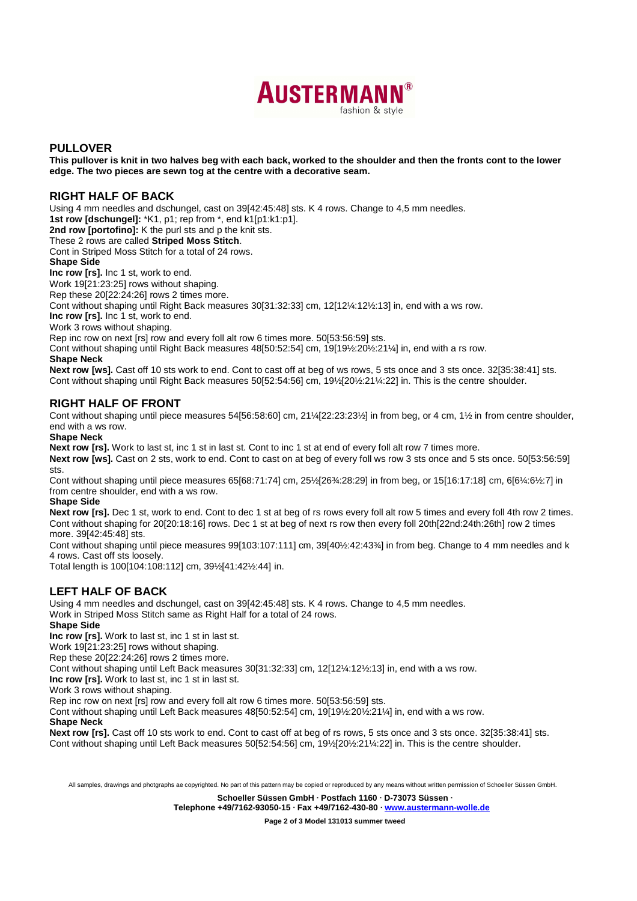

#### **PULLOVER**

**This pullover is knit in two halves beg with each back, worked to the shoulder and then the fronts cont to the lower edge. The two pieces are sewn tog at the centre with a decorative seam.** 

### **RIGHT HALF OF BACK**

Using 4 mm needles and dschungel, cast on 39[42:45:48] sts. K 4 rows. Change to 4,5 mm needles.

**1st row [dschungel]:** \*K1, p1; rep from \*, end k1[p1:k1:p1].

2nd row [portofino]: K the purl sts and p the knit sts.

These 2 rows are called **Striped Moss Stitch**.

Cont in Striped Moss Stitch for a total of 24 rows.

**Shape Side** 

**Inc row [rs].** Inc 1 st, work to end.

Work 19[21:23:25] rows without shaping.

Rep these 20[22:24:26] rows 2 times more.

Cont without shaping until Right Back measures 30[31:32:33] cm, 12[12¼:12½:13] in, end with a ws row.

**Inc row [rs].** Inc 1 st, work to end.

Work 3 rows without shaping.

Rep inc row on next [rs] row and every foll alt row 6 times more. 50[53:56:59] sts.

Cont without shaping until Right Back measures 48[50:52:54] cm, 19[19½:20½:21¼] in, end with a rs row.

#### **Shape Neck**

**Next row [ws].** Cast off 10 sts work to end. Cont to cast off at beg of ws rows, 5 sts once and 3 sts once. 32[35:38:41] sts. Cont without shaping until Right Back measures 50[52:54:56] cm, 19½[20½:21¼:22] in. This is the centre shoulder.

# **RIGHT HALF OF FRONT**

Cont without shaping until piece measures 54[56:58:60] cm, 21¼[22:23:23½] in from beg, or 4 cm, 1½ in from centre shoulder, end with a ws row.

**Shape Neck**

**Next row [rs].** Work to last st, inc 1 st in last st. Cont to inc 1 st at end of every foll alt row 7 times more.

**Next row [ws].** Cast on 2 sts, work to end. Cont to cast on at beg of every foll ws row 3 sts once and 5 sts once. 50[53:56:59] sts.

Cont without shaping until piece measures 65[68:71:74] cm, 25½[26¾:28:29] in from beg, or 15[16:17:18] cm, 6[6¼:6½:7] in from centre shoulder, end with a ws row.

#### **Shape Side**

Next row [rs]. Dec 1 st, work to end. Cont to dec 1 st at beg of rs rows every foll alt row 5 times and every foll 4th row 2 times. Cont without shaping for 20[20:18:16] rows. Dec 1 st at beg of next rs row then every foll 20th[22nd:24th:26th] row 2 times more. 39[42:45:48] sts.

Cont without shaping until piece measures 99[103:107:111] cm, 39[40½:42:43¾] in from beg. Change to 4 mm needles and k 4 rows. Cast off sts loosely.

Total length is 100[104:108:112] cm, 39½[41:42½:44] in.

# **LEFT HALF OF BACK**

Using 4 mm needles and dschungel, cast on 39[42:45:48] sts. K 4 rows. Change to 4,5 mm needles. Work in Striped Moss Stitch same as Right Half for a total of 24 rows.

**Shape Side** 

**Inc row [rs].** Work to last st, inc 1 st in last st.

Work 19[21:23:25] rows without shaping.

Rep these 20[22:24:26] rows 2 times more.

Cont without shaping until Left Back measures 30[31:32:33] cm, 12[12¼:12½:13] in, end with a ws row.

**Inc row [rs].** Work to last st, inc 1 st in last st.

Work 3 rows without shaping.

Rep inc row on next [rs] row and every foll alt row 6 times more. 50[53:56:59] sts.

Cont without shaping until Left Back measures 48[50:52:54] cm, 19[19½:20½:21¼] in, end with a ws row.

#### **Shape Neck**

**Next row [rs].** Cast off 10 sts work to end. Cont to cast off at beg of rs rows, 5 sts once and 3 sts once. 32[35:38:41] sts. Cont without shaping until Left Back measures 50[52:54:56] cm, 19½[20½:21¼:22] in. This is the centre shoulder.

All samples, drawings and photgraphs ae copyrighted. No part of this pattern may be copied or reproduced by any means without written permission of Schoeller Süssen GmbH.

**Schoeller Süssen GmbH · Postfach 1160 · D-73073 Süssen ·**

**Telephone +49/7162-93050-15 · Fax +49/7162-430-80 · www.austermann-wolle.de**

**Page 2 of 3 Model 131013 summer tweed**